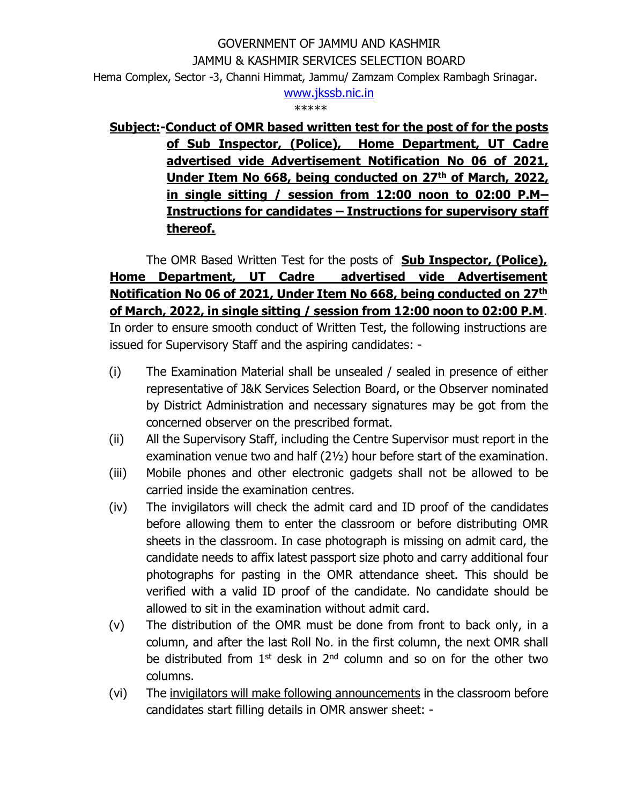## GOVERNMENT OF JAMMU AND KASHMIR JAMMU & KASHMIR SERVICES SELECTION BOARD Hema Complex, Sector -3, Channi Himmat, Jammu/ Zamzam Complex Rambagh Srinagar. [www.jkssb.nic.in](http://www.jkssb.nic.in/)

\*\*\*\*\*

## **Subject:-Conduct of OMR based written test for the post of for the posts of Sub Inspector, (Police), Home Department, UT Cadre advertised vide Advertisement Notification No 06 of 2021, Under Item No 668, being conducted on 27th of March, 2022, in single sitting / session from 12:00 noon to 02:00 P.M– Instructions for candidates – Instructions for supervisory staff thereof.**

The OMR Based Written Test for the posts of **Sub Inspector, (Police), Home Department, UT Cadre advertised vide Advertisement Notification No 06 of 2021, Under Item No 668, being conducted on 27th of March, 2022, in single sitting / session from 12:00 noon to 02:00 P.M**. In order to ensure smooth conduct of Written Test, the following instructions are issued for Supervisory Staff and the aspiring candidates: -

- (i) The Examination Material shall be unsealed / sealed in presence of either representative of J&K Services Selection Board, or the Observer nominated by District Administration and necessary signatures may be got from the concerned observer on the prescribed format.
- (ii) All the Supervisory Staff, including the Centre Supervisor must report in the examination venue two and half (2½) hour before start of the examination.
- (iii) Mobile phones and other electronic gadgets shall not be allowed to be carried inside the examination centres.
- (iv) The invigilators will check the admit card and ID proof of the candidates before allowing them to enter the classroom or before distributing OMR sheets in the classroom. In case photograph is missing on admit card, the candidate needs to affix latest passport size photo and carry additional four photographs for pasting in the OMR attendance sheet. This should be verified with a valid ID proof of the candidate. No candidate should be allowed to sit in the examination without admit card.
- (v) The distribution of the OMR must be done from front to back only, in a column, and after the last Roll No. in the first column, the next OMR shall be distributed from  $1<sup>st</sup>$  desk in  $2<sup>nd</sup>$  column and so on for the other two columns.
- (vi) The invigilators will make following announcements in the classroom before candidates start filling details in OMR answer sheet: -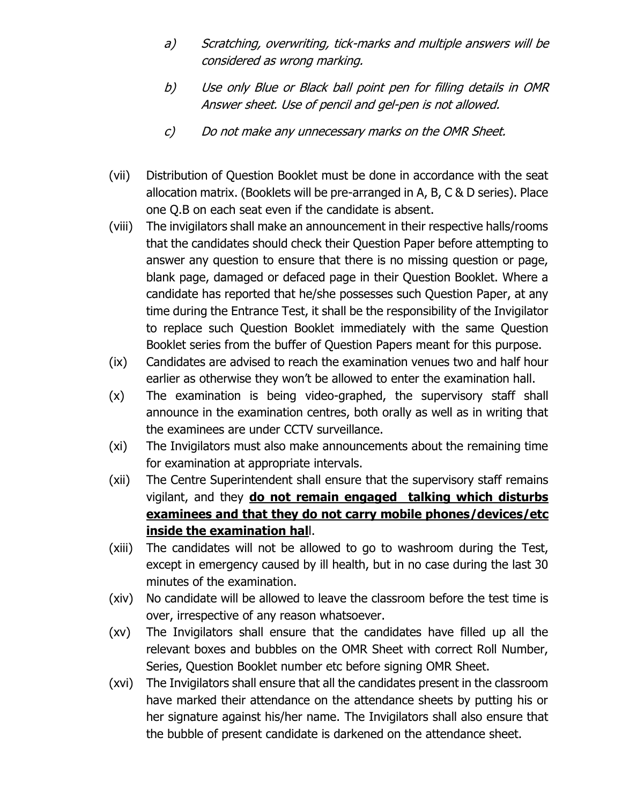- a) Scratching, overwriting, tick-marks and multiple answers will be considered as wrong marking.
- b) Use only Blue or Black ball point pen for filling details in OMR Answer sheet. Use of pencil and gel-pen is not allowed.
- c) Do not make any unnecessary marks on the OMR Sheet.
- (vii) Distribution of Question Booklet must be done in accordance with the seat allocation matrix. (Booklets will be pre-arranged in A, B, C & D series). Place one Q.B on each seat even if the candidate is absent.
- (viii) The invigilators shall make an announcement in their respective halls/rooms that the candidates should check their Question Paper before attempting to answer any question to ensure that there is no missing question or page, blank page, damaged or defaced page in their Question Booklet. Where a candidate has reported that he/she possesses such Question Paper, at any time during the Entrance Test, it shall be the responsibility of the Invigilator to replace such Question Booklet immediately with the same Question Booklet series from the buffer of Question Papers meant for this purpose.
- (ix) Candidates are advised to reach the examination venues two and half hour earlier as otherwise they won't be allowed to enter the examination hall.
- (x) The examination is being video-graphed, the supervisory staff shall announce in the examination centres, both orally as well as in writing that the examinees are under CCTV surveillance.
- (xi) The Invigilators must also make announcements about the remaining time for examination at appropriate intervals.
- (xii) The Centre Superintendent shall ensure that the supervisory staff remains vigilant, and they **do not remain engaged talking which disturbs examinees and that they do not carry mobile phones/devices/etc inside the examination hal**l.
- (xiii) The candidates will not be allowed to go to washroom during the Test, except in emergency caused by ill health, but in no case during the last 30 minutes of the examination.
- (xiv) No candidate will be allowed to leave the classroom before the test time is over, irrespective of any reason whatsoever.
- (xv) The Invigilators shall ensure that the candidates have filled up all the relevant boxes and bubbles on the OMR Sheet with correct Roll Number, Series, Question Booklet number etc before signing OMR Sheet.
- (xvi) The Invigilators shall ensure that all the candidates present in the classroom have marked their attendance on the attendance sheets by putting his or her signature against his/her name. The Invigilators shall also ensure that the bubble of present candidate is darkened on the attendance sheet.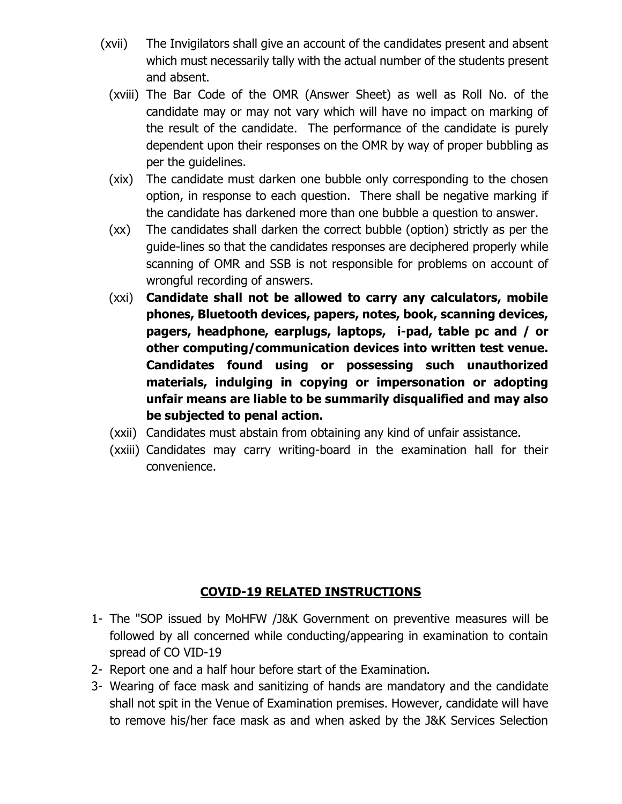- (xvii) The Invigilators shall give an account of the candidates present and absent which must necessarily tally with the actual number of the students present and absent.
	- (xviii) The Bar Code of the OMR (Answer Sheet) as well as Roll No. of the candidate may or may not vary which will have no impact on marking of the result of the candidate. The performance of the candidate is purely dependent upon their responses on the OMR by way of proper bubbling as per the guidelines.
	- (xix) The candidate must darken one bubble only corresponding to the chosen option, in response to each question. There shall be negative marking if the candidate has darkened more than one bubble a question to answer.
	- (xx) The candidates shall darken the correct bubble (option) strictly as per the guide-lines so that the candidates responses are deciphered properly while scanning of OMR and SSB is not responsible for problems on account of wrongful recording of answers.
	- (xxi) **Candidate shall not be allowed to carry any calculators, mobile phones, Bluetooth devices, papers, notes, book, scanning devices, pagers, headphone, earplugs, laptops, i-pad, table pc and / or other computing/communication devices into written test venue. Candidates found using or possessing such unauthorized materials, indulging in copying or impersonation or adopting unfair means are liable to be summarily disqualified and may also be subjected to penal action.**
	- (xxii) Candidates must abstain from obtaining any kind of unfair assistance.
	- (xxiii) Candidates may carry writing-board in the examination hall for their convenience.

## **COVID-19 RELATED INSTRUCTIONS**

- 1- The "SOP issued by MoHFW /J&K Government on preventive measures will be followed by all concerned while conducting/appearing in examination to contain spread of CO VID-19
- 2- Report one and a half hour before start of the Examination.
- 3- Wearing of face mask and sanitizing of hands are mandatory and the candidate shall not spit in the Venue of Examination premises. However, candidate will have to remove his/her face mask as and when asked by the J&K Services Selection